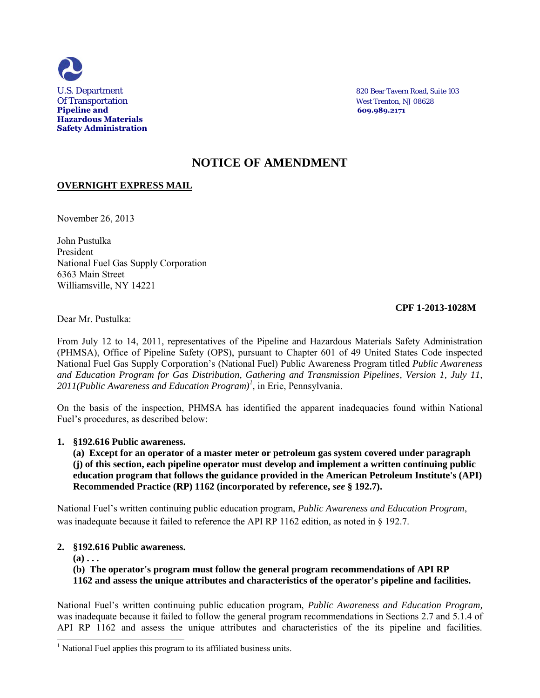

U.S. Department 820 Bear Tavern Road, Suite 103

# **NOTICE OF AMENDMENT**

# **OVERNIGHT EXPRESS MAIL**

November 26, 2013

John Pustulka President National Fuel Gas Supply Corporation 6363 Main Street Williamsville, NY 14221

## **CPF 1-2013-1028M**

Dear Mr. Pustulka:

From July 12 to 14, 2011, representatives of the Pipeline and Hazardous Materials Safety Administration (PHMSA), Office of Pipeline Safety (OPS), pursuant to Chapter 601 of 49 United States Code inspected National Fuel Gas Supply Corporation's (National Fuel) Public Awareness Program titled *Public Awareness and Education Program for Gas Distribution, Gathering and Transmission Pipelines, Version 1, July 11, 2011(Public Awareness and Education Program)<sup>1</sup> ,* in Erie, Pennsylvania.

On the basis of the inspection, PHMSA has identified the apparent inadequacies found within National Fuel's procedures, as described below:

## **1. §192.616 Public awareness.**

**(a) Except for an operator of a master meter or petroleum gas system covered under paragraph (j) of this section, each pipeline operator must develop and implement a written continuing public education program that follows the guidance provided in the American Petroleum Institute's (API) Recommended Practice (RP) 1162 (incorporated by reference,** *see* **§ 192.7).** 

National Fuel's written continuing public education program, *Public Awareness and Education Program*, was inadequate because it failed to reference the API RP 1162 edition, as noted in § 192.7.

## **2. §192.616 Public awareness.**

 $(a) \ldots$ 

j

**(b) The operator's program must follow the general program recommendations of API RP 1162 and assess the unique attributes and characteristics of the operator's pipeline and facilities.** 

National Fuel's written continuing public education program, *Public Awareness and Education Program,* was inadequate because it failed to follow the general program recommendations in Sections 2.7 and 5.1.4 of API RP 1162 and assess the unique attributes and characteristics of the its pipeline and facilities.

<sup>&</sup>lt;sup>1</sup> National Fuel applies this program to its affiliated business units.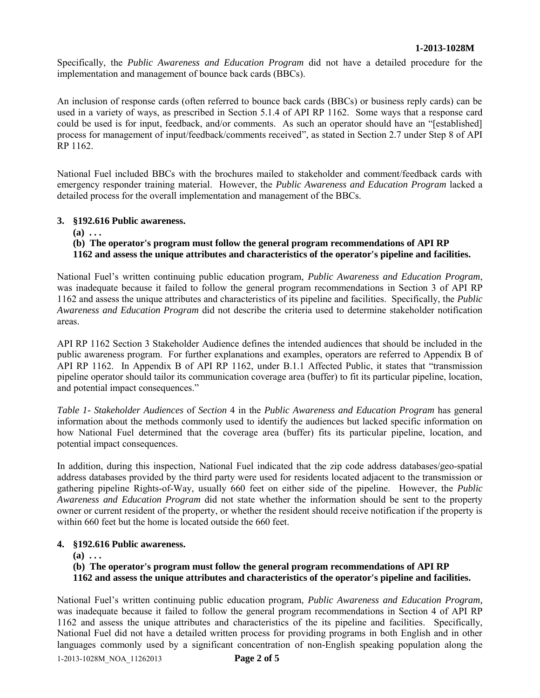Specifically, the *Public Awareness and Education Program* did not have a detailed procedure for the implementation and management of bounce back cards (BBCs).

An inclusion of response cards (often referred to bounce back cards (BBCs) or business reply cards) can be used in a variety of ways, as prescribed in Section 5.1.4 of API RP 1162. Some ways that a response card could be used is for input, feedback, and/or comments. As such an operator should have an "[established] process for management of input/feedback/comments received", as stated in Section 2.7 under Step 8 of API RP 1162.

National Fuel included BBCs with the brochures mailed to stakeholder and comment/feedback cards with emergency responder training material. However, the *Public Awareness and Education Program* lacked a detailed process for the overall implementation and management of the BBCs.

# **3. §192.616 Public awareness.**

 $(a) \ldots$ 

# **(b) The operator's program must follow the general program recommendations of API RP 1162 and assess the unique attributes and characteristics of the operator's pipeline and facilities.**

National Fuel's written continuing public education program, *Public Awareness and Education Program*, was inadequate because it failed to follow the general program recommendations in Section 3 of API RP 1162 and assess the unique attributes and characteristics of its pipeline and facilities. Specifically, the *Public Awareness and Education Program* did not describe the criteria used to determine stakeholder notification areas.

API RP 1162 Section 3 Stakeholder Audience defines the intended audiences that should be included in the public awareness program. For further explanations and examples, operators are referred to Appendix B of API RP 1162. In Appendix B of API RP 1162, under B.1.1 Affected Public, it states that "transmission pipeline operator should tailor its communication coverage area (buffer) to fit its particular pipeline, location, and potential impact consequences."

*Table 1- Stakeholder Audiences* of *Section* 4 in the *Public Awareness and Education Program* has general information about the methods commonly used to identify the audiences but lacked specific information on how National Fuel determined that the coverage area (buffer) fits its particular pipeline, location, and potential impact consequences.

In addition, during this inspection, National Fuel indicated that the zip code address databases/geo-spatial address databases provided by the third party were used for residents located adjacent to the transmission or gathering pipeline Rights-of-Way, usually 660 feet on either side of the pipeline. However, the *Public Awareness and Education Program* did not state whether the information should be sent to the property owner or current resident of the property, or whether the resident should receive notification if the property is within 660 feet but the home is located outside the 660 feet.

## **4. §192.616 Public awareness.**

**(a) . . .** 

**(b) The operator's program must follow the general program recommendations of API RP** 

**1162 and assess the unique attributes and characteristics of the operator's pipeline and facilities.** 

National Fuel's written continuing public education program, *Public Awareness and Education Program,*  was inadequate because it failed to follow the general program recommendations in Section 4 of API RP 1162 and assess the unique attributes and characteristics of the its pipeline and facilities. Specifically, National Fuel did not have a detailed written process for providing programs in both English and in other languages commonly used by a significant concentration of non-English speaking population along the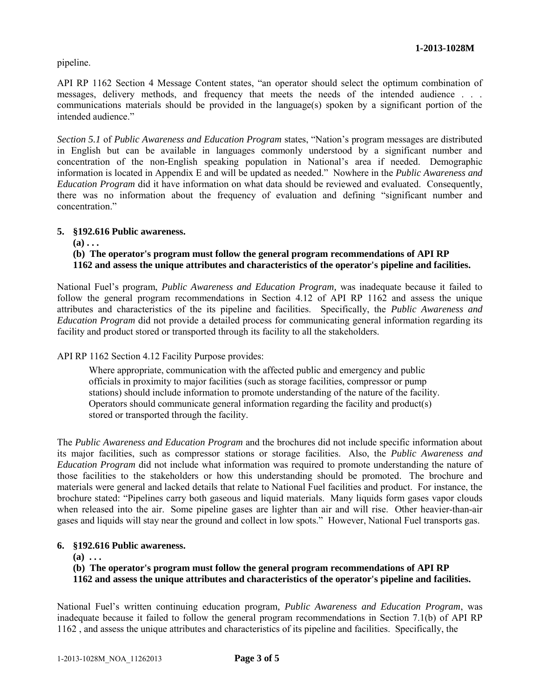pipeline.

API RP 1162 Section 4 Message Content states, "an operator should select the optimum combination of messages, delivery methods, and frequency that meets the needs of the intended audience . . . communications materials should be provided in the language(s) spoken by a significant portion of the intended audience"

*Section 5.1* of *Public Awareness and Education Program* states, "Nation's program messages are distributed in English but can be available in languages commonly understood by a significant number and concentration of the non-English speaking population in National's area if needed. Demographic information is located in Appendix E and will be updated as needed." Nowhere in the *Public Awareness and Education Program* did it have information on what data should be reviewed and evaluated. Consequently, there was no information about the frequency of evaluation and defining "significant number and concentration<sup>"</sup>

#### **5. §192.616 Public awareness.**

 $(a) \ldots$ 

# **(b) The operator's program must follow the general program recommendations of API RP 1162 and assess the unique attributes and characteristics of the operator's pipeline and facilities.**

National Fuel's program, *Public Awareness and Education Program,* was inadequate because it failed to follow the general program recommendations in Section 4.12 of API RP 1162 and assess the unique attributes and characteristics of the its pipeline and facilities. Specifically, the *Public Awareness and Education Program* did not provide a detailed process for communicating general information regarding its facility and product stored or transported through its facility to all the stakeholders.

## API RP 1162 Section 4.12 Facility Purpose provides:

Where appropriate, communication with the affected public and emergency and public officials in proximity to major facilities (such as storage facilities, compressor or pump stations) should include information to promote understanding of the nature of the facility. Operators should communicate general information regarding the facility and product(s) stored or transported through the facility.

The *Public Awareness and Education Program* and the brochures did not include specific information about its major facilities, such as compressor stations or storage facilities. Also, the *Public Awareness and Education Program* did not include what information was required to promote understanding the nature of those facilities to the stakeholders or how this understanding should be promoted. The brochure and materials were general and lacked details that relate to National Fuel facilities and product. For instance, the brochure stated: "Pipelines carry both gaseous and liquid materials. Many liquids form gases vapor clouds when released into the air. Some pipeline gases are lighter than air and will rise. Other heavier-than-air gases and liquids will stay near the ground and collect in low spots." However, National Fuel transports gas.

#### **6. §192.616 Public awareness.**

**(a) . . .** 

## **(b) The operator's program must follow the general program recommendations of API RP**

**1162 and assess the unique attributes and characteristics of the operator's pipeline and facilities.** 

National Fuel's written continuing education program*, Public Awareness and Education Program*, was inadequate because it failed to follow the general program recommendations in Section 7.1(b) of API RP 1162 , and assess the unique attributes and characteristics of its pipeline and facilities. Specifically, the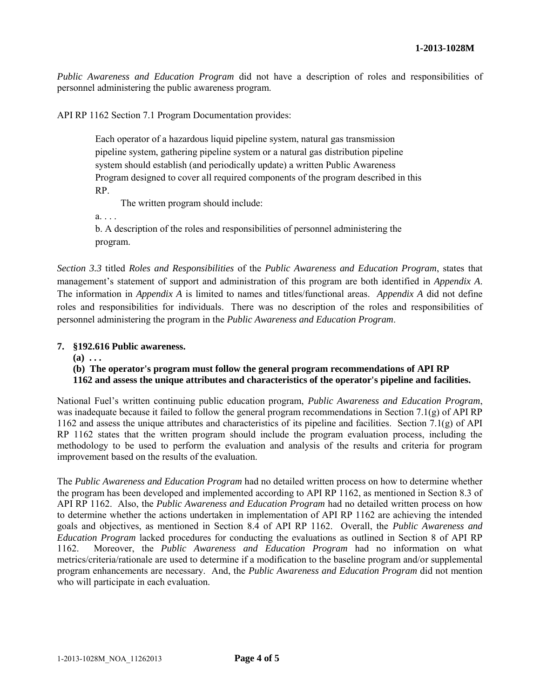*Public Awareness and Education Program* did not have a description of roles and responsibilities of personnel administering the public awareness program.

API RP 1162 Section 7.1 Program Documentation provides:

Each operator of a hazardous liquid pipeline system, natural gas transmission pipeline system, gathering pipeline system or a natural gas distribution pipeline system should establish (and periodically update) a written Public Awareness Program designed to cover all required components of the program described in this RP.

The written program should include:

a. . . .

b. A description of the roles and responsibilities of personnel administering the program.

*Section 3.3* titled *Roles and Responsibilities* of the *Public Awareness and Education Program*, states that management's statement of support and administration of this program are both identified in *Appendix A*. The information in *Appendix A* is limited to names and titles/functional areas. *Appendix A* did not define roles and responsibilities for individuals. There was no description of the roles and responsibilities of personnel administering the program in the *Public Awareness and Education Program*.

# **7. §192.616 Public awareness.**

**(a) . . .** 

# **(b) The operator's program must follow the general program recommendations of API RP 1162 and assess the unique attributes and characteristics of the operator's pipeline and facilities.**

National Fuel's written continuing public education program, *Public Awareness and Education Program*, was inadequate because it failed to follow the general program recommendations in Section 7.1(g) of API RP 1162 and assess the unique attributes and characteristics of its pipeline and facilities. Section 7.1(g) of API RP 1162 states that the written program should include the program evaluation process, including the methodology to be used to perform the evaluation and analysis of the results and criteria for program improvement based on the results of the evaluation.

The *Public Awareness and Education Program* had no detailed written process on how to determine whether the program has been developed and implemented according to API RP 1162, as mentioned in Section 8.3 of API RP 1162. Also, the *Public Awareness and Education Program* had no detailed written process on how to determine whether the actions undertaken in implementation of API RP 1162 are achieving the intended goals and objectives, as mentioned in Section 8.4 of API RP 1162. Overall, the *Public Awareness and Education Program* lacked procedures for conducting the evaluations as outlined in Section 8 of API RP 1162. Moreover, the *Public Awareness and Education Program* had no information on what metrics/criteria/rationale are used to determine if a modification to the baseline program and/or supplemental program enhancements are necessary. And, the *Public Awareness and Education Program* did not mention who will participate in each evaluation.